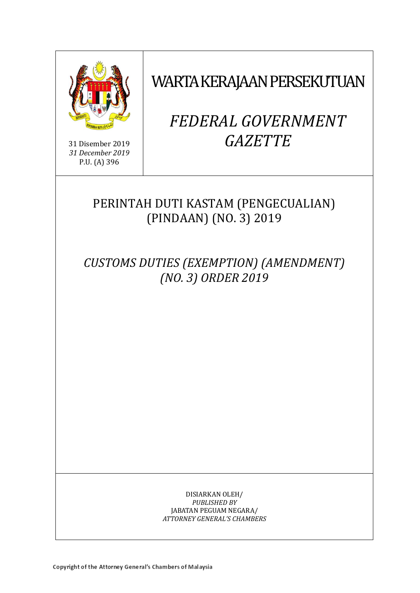

31 Disember 2019 *31 December 2019* P.U. (A) 396

WARTA KERAJAAN PERSEKUTUAN

# *FEDERAL GOVERNMENT GAZETTE*

# PERINTAH DUTI KASTAM (PENGECUALIAN) (PINDAAN) (NO. 3) 2019

*CUSTOMS DUTIES (EXEMPTION) (AMENDMENT) (NO. 3) ORDER 2019*

> DISIARKAN OLEH/ *PUBLISHED BY* JABATAN PEGUAM NEGARA/ *ATTORNEY GENERAL'S CHAMBERS*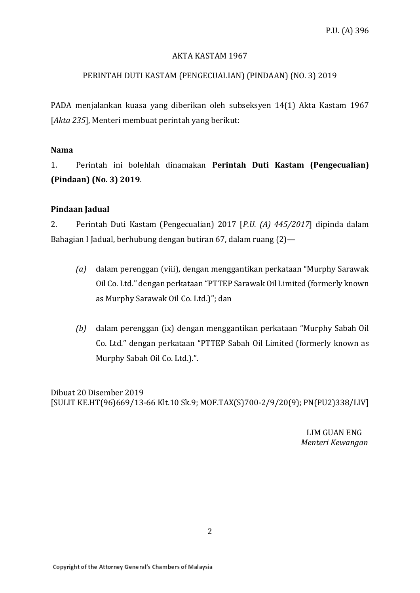#### AKTA KASTAM 1967

# PERINTAH DUTI KASTAM (PENGECUALIAN) (PINDAAN) (NO. 3) 2019

PADA menjalankan kuasa yang diberikan oleh subseksyen 14(1) Akta Kastam 1967 [*Akta 235*], Menteri membuat perintah yang berikut:

# **Nama**

1. Perintah ini bolehlah dinamakan **Perintah Duti Kastam (Pengecualian) (Pindaan) (No. 3) 2019**.

# **Pindaan Jadual**

2. Perintah Duti Kastam (Pengecualian) 2017 [*P.U. (A) 445/2017*] dipinda dalam Bahagian I Jadual, berhubung dengan butiran 67, dalam ruang (2)—

- *(a)* dalam perenggan (viii), dengan menggantikan perkataan "Murphy Sarawak Oil Co. Ltd." dengan perkataan "PTTEP Sarawak Oil Limited (formerly known as Murphy Sarawak Oil Co. Ltd.)"; dan
- *(b)* dalam perenggan (ix) dengan menggantikan perkataan "Murphy Sabah Oil Co. Ltd." dengan perkataan "PTTEP Sabah Oil Limited (formerly known as Murphy Sabah Oil Co. Ltd.).".

Dibuat 20 Disember 2019 [SULIT KE.HT(96)669/13-66 Klt.10 Sk.9; MOF.TAX(S)700-2/9/20(9); PN(PU2)338/LIV]

> LIM GUAN ENG  *Menteri Kewangan*